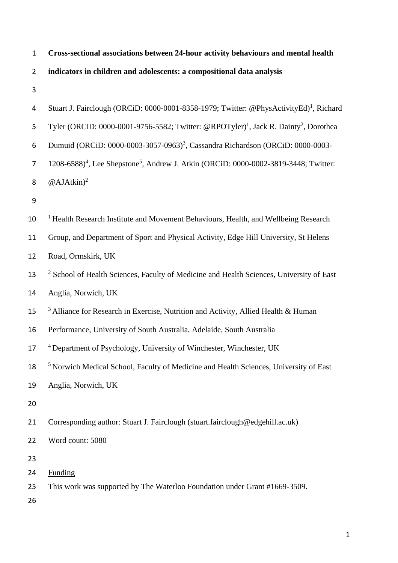| $\mathbf{1}$   | Cross-sectional associations between 24-hour activity behaviours and mental health                           |
|----------------|--------------------------------------------------------------------------------------------------------------|
| $\overline{2}$ | indicators in children and adolescents: a compositional data analysis                                        |
| 3              |                                                                                                              |
| 4              | Stuart J. Fairclough (ORCiD: 0000-0001-8358-1979; Twitter: @PhysActivityEd) <sup>1</sup> , Richard           |
| 5              | Tyler (ORCiD: 0000-0001-9756-5582; Twitter: @RPOTyler) <sup>1</sup> , Jack R. Dainty <sup>2</sup> , Dorothea |
| 6              | Dumuid (ORCiD: 0000-0003-3057-0963) <sup>3</sup> , Cassandra Richardson (ORCiD: 0000-0003-                   |
| $\overline{7}$ | 1208-6588) <sup>4</sup> , Lee Shepstone <sup>5</sup> , Andrew J. Atkin (ORCiD: 0000-0002-3819-3448; Twitter: |
| 8              | @AJAtkin $)^2$                                                                                               |
| 9              |                                                                                                              |
| 10             | <sup>1</sup> Health Research Institute and Movement Behaviours, Health, and Wellbeing Research               |
| 11             | Group, and Department of Sport and Physical Activity, Edge Hill University, St Helens                        |
| 12             | Road, Ormskirk, UK                                                                                           |
| 13             | <sup>2</sup> School of Health Sciences, Faculty of Medicine and Health Sciences, University of East          |
| 14             | Anglia, Norwich, UK                                                                                          |
| 15             | <sup>3</sup> Alliance for Research in Exercise, Nutrition and Activity, Allied Health & Human                |
| 16             | Performance, University of South Australia, Adelaide, South Australia                                        |
| 17             | <sup>4</sup> Department of Psychology, University of Winchester, Winchester, UK                              |
| 18             | <sup>5</sup> Norwich Medical School, Faculty of Medicine and Health Sciences, University of East             |
| 19             | Anglia, Norwich, UK                                                                                          |
| 20             |                                                                                                              |
| 21             | Corresponding author: Stuart J. Fairclough (stuart.fairclough@edgehill.ac.uk)                                |
| 22             | Word count: 5080                                                                                             |
| 23             |                                                                                                              |
| 24             | <b>Funding</b>                                                                                               |
| 25<br>26       | This work was supported by The Waterloo Foundation under Grant #1669-3509.                                   |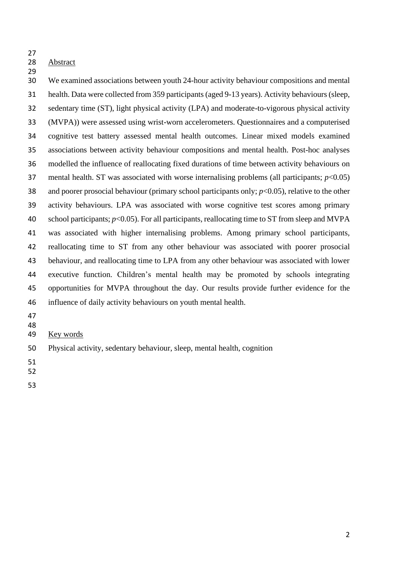## Abstract

 We examined associations between youth 24-hour activity behaviour compositions and mental health. Data were collected from 359 participants (aged 9-13 years). Activity behaviours(sleep, sedentary time (ST), light physical activity (LPA) and moderate-to-vigorous physical activity (MVPA)) were assessed using wrist-worn accelerometers. Questionnaires and a computerised cognitive test battery assessed mental health outcomes. Linear mixed models examined associations between activity behaviour compositions and mental health. Post-hoc analyses modelled the influence of reallocating fixed durations of time between activity behaviours on mental health. ST was associated with worse internalising problems (all participants; *p*<0.05) 38 and poorer prosocial behaviour (primary school participants only;  $p<0.05$ ), relative to the other activity behaviours. LPA was associated with worse cognitive test scores among primary 40 school participants;  $p<0.05$ ). For all participants, reallocating time to ST from sleep and MVPA was associated with higher internalising problems. Among primary school participants, reallocating time to ST from any other behaviour was associated with poorer prosocial behaviour, and reallocating time to LPA from any other behaviour was associated with lower executive function. Children's mental health may be promoted by schools integrating opportunities for MVPA throughout the day. Our results provide further evidence for the influence of daily activity behaviours on youth mental health.

- 
- 
- Key words
- Physical activity, sedentary behaviour, sleep, mental health, cognition
- 
- 
-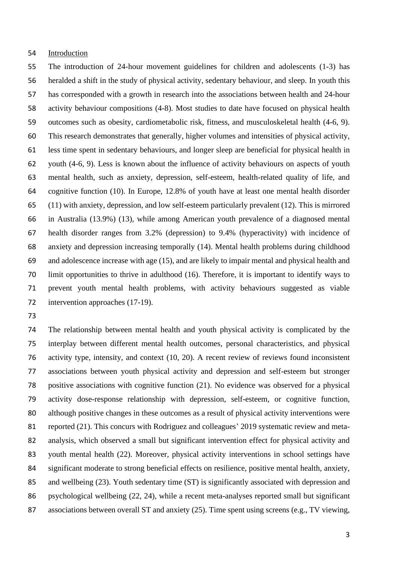### Introduction

 The introduction of 24-hour movement guidelines for children and adolescents (1-3) has heralded a shift in the study of physical activity, sedentary behaviour, and sleep. In youth this has corresponded with a growth in research into the associations between health and 24-hour activity behaviour compositions (4-8). Most studies to date have focused on physical health outcomes such as obesity, cardiometabolic risk, fitness, and musculoskeletal health (4-6, 9). This research demonstrates that generally, higher volumes and intensities of physical activity, less time spent in sedentary behaviours, and longer sleep are beneficial for physical health in youth (4-6, 9). Less is known about the influence of activity behaviours on aspects of youth mental health, such as anxiety, depression, self-esteem, health-related quality of life, and cognitive function (10). In Europe, 12.8% of youth have at least one mental health disorder (11) with anxiety, depression, and low self-esteem particularly prevalent (12). This is mirrored in Australia (13.9%) (13), while among American youth prevalence of a diagnosed mental health disorder ranges from 3.2% (depression) to 9.4% (hyperactivity) with incidence of anxiety and depression increasing temporally (14). Mental health problems during childhood and adolescence increase with age (15), and are likely to impair mental and physical health and limit opportunities to thrive in adulthood (16). Therefore, it is important to identify ways to prevent youth mental health problems, with activity behaviours suggested as viable 72 intervention approaches (17-19).

 The relationship between mental health and youth physical activity is complicated by the interplay between different mental health outcomes, personal characteristics, and physical activity type, intensity, and context (10, 20). A recent review of reviews found inconsistent associations between youth physical activity and depression and self-esteem but stronger positive associations with cognitive function (21). No evidence was observed for a physical activity dose-response relationship with depression, self-esteem, or cognitive function, although positive changes in these outcomes as a result of physical activity interventions were 81 reported (21). This concurs with Rodriguez and colleagues' 2019 systematic review and meta- analysis, which observed a small but significant intervention effect for physical activity and youth mental health (22). Moreover, physical activity interventions in school settings have significant moderate to strong beneficial effects on resilience, positive mental health, anxiety, and wellbeing (23). Youth sedentary time (ST) is significantly associated with depression and psychological wellbeing (22, 24), while a recent meta-analyses reported small but significant 87 associations between overall ST and anxiety (25). Time spent using screens (e.g., TV viewing,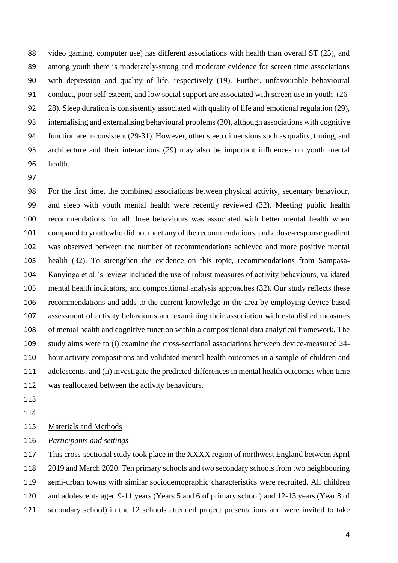video gaming, computer use) has different associations with health than overall ST (25), and among youth there is moderately-strong and moderate evidence for screen time associations with depression and quality of life, respectively (19). Further, unfavourable behavioural conduct, poor self-esteem, and low social support are associated with screen use in youth (26- 28). Sleep duration is consistently associated with quality of life and emotional regulation (29), internalising and externalising behavioural problems (30), although associations with cognitive function are inconsistent (29-31). However, other sleep dimensions such as quality, timing, and architecture and their interactions (29) may also be important influences on youth mental health.

 For the first time, the combined associations between physical activity, sedentary behaviour, and sleep with youth mental health were recently reviewed (32). Meeting public health recommendations for all three behaviours was associated with better mental health when compared to youth who did not meet any of the recommendations, and a dose-response gradient was observed between the number of recommendations achieved and more positive mental health (32). To strengthen the evidence on this topic, recommendations from Sampasa- Kanyinga et al.'s review included the use of robust measures of activity behaviours, validated mental health indicators, and compositional analysis approaches (32). Our study reflects these recommendations and adds to the current knowledge in the area by employing device-based assessment of activity behaviours and examining their association with established measures of mental health and cognitive function within a compositional data analytical framework. The study aims were to (i) examine the cross-sectional associations between device-measured 24- hour activity compositions and validated mental health outcomes in a sample of children and adolescents, and (ii) investigate the predicted differences in mental health outcomes when time was reallocated between the activity behaviours.

- 
- 

### 115 Materials and Methods

*Participants and settings*

 This cross-sectional study took place in the XXXX region of northwest England between April 2019 and March 2020. Ten primary schools and two secondary schools from two neighbouring semi-urban towns with similar sociodemographic characteristics were recruited. All children and adolescents aged 9-11 years (Years 5 and 6 of primary school) and 12-13 years (Year 8 of secondary school) in the 12 schools attended project presentations and were invited to take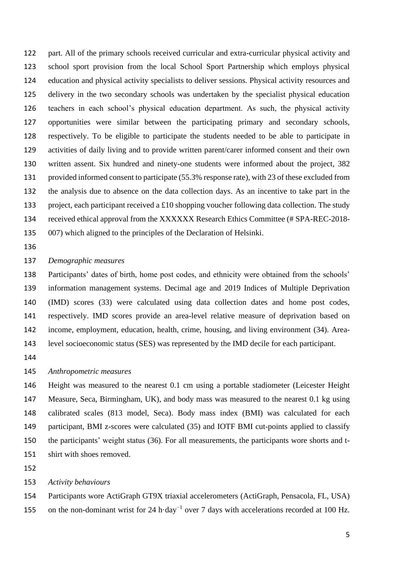part. All of the primary schools received curricular and extra-curricular physical activity and school sport provision from the local School Sport Partnership which employs physical education and physical activity specialists to deliver sessions. Physical activity resources and delivery in the two secondary schools was undertaken by the specialist physical education teachers in each school's physical education department. As such, the physical activity opportunities were similar between the participating primary and secondary schools, respectively. To be eligible to participate the students needed to be able to participate in activities of daily living and to provide written parent/carer informed consent and their own written assent. Six hundred and ninety-one students were informed about the project, 382 provided informed consent to participate (55.3% response rate), with 23 of these excluded from the analysis due to absence on the data collection days. As an incentive to take part in the 133 project, each participant received a £10 shopping voucher following data collection. The study received ethical approval from the XXXXXX Research Ethics Committee (# SPA-REC-2018- 007) which aligned to the principles of the Declaration of Helsinki.

### *Demographic measures*

 Participants' dates of birth, home post codes, and ethnicity were obtained from the schools' information management systems. Decimal age and 2019 Indices of Multiple Deprivation (IMD) scores (33) were calculated using data collection dates and home post codes, respectively. IMD scores provide an area-level relative measure of deprivation based on income, employment, education, health, crime, housing, and living environment (34). Area-level socioeconomic status (SES) was represented by the IMD decile for each participant.

### *Anthropometric measures*

 Height was measured to the nearest 0.1 cm using a portable stadiometer (Leicester Height Measure, Seca, Birmingham, UK), and body mass was measured to the nearest 0.1 kg using calibrated scales (813 model, Seca). Body mass index (BMI) was calculated for each participant, BMI z-scores were calculated (35) and IOTF BMI cut-points applied to classify the participants' weight status (36). For all measurements, the participants wore shorts and t-shirt with shoes removed.

#### *Activity behaviours*

 Participants wore ActiGraph GT9X triaxial accelerometers (ActiGraph, Pensacola, FL, USA) 155 on the non-dominant wrist for 24 h·day<sup>-1</sup> over 7 days with accelerations recorded at 100 Hz.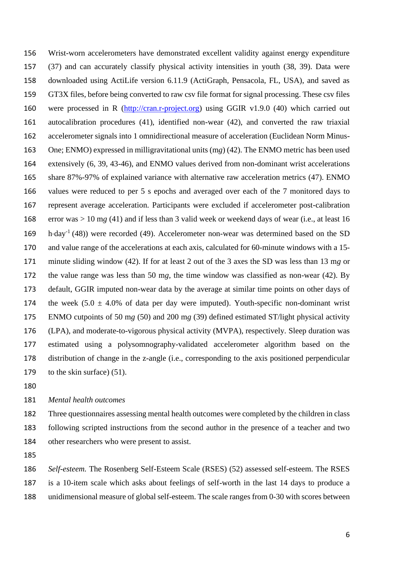Wrist-worn accelerometers have demonstrated excellent validity against energy expenditure (37) and can accurately classify physical activity intensities in youth (38, 39). Data were downloaded using ActiLife version 6.11.9 (ActiGraph, Pensacola, FL, USA), and saved as GT3X files, before being converted to raw csv file format for signal processing. These csv files were processed in R [\(http://cran.r-project.org\)](http://cran.r-project.org/) using GGIR v1.9.0 (40) which carried out autocalibration procedures (41), identified non-wear (42), and converted the raw triaxial accelerometer signals into 1 omnidirectional measure of acceleration (Euclidean Norm Minus- One; ENMO) expressed in milligravitational units (m*g*) (42). The ENMO metric has been used extensively (6, 39, 43-46), and ENMO values derived from non-dominant wrist accelerations share 87%-97% of explained variance with alternative raw acceleration metrics (47). ENMO values were reduced to per 5 s epochs and averaged over each of the 7 monitored days to represent average acceleration. Participants were excluded if accelerometer post-calibration error was > 10 m*g* (41) and if less than 3 valid week or weekend days of wear (i.e., at least 16  $h$ ·day<sup>-1</sup> (48)) were recorded (49). Accelerometer non-wear was determined based on the SD and value range of the accelerations at each axis, calculated for 60-minute windows with a 15- minute sliding window (42). If for at least 2 out of the 3 axes the SD was less than 13 m*g* or the value range was less than 50 m*g*, the time window was classified as non-wear (42). By default, GGIR imputed non-wear data by the average at similar time points on other days of 174 the week  $(5.0 \pm 4.0\%$  of data per day were imputed). Youth-specific non-dominant wrist ENMO cutpoints of 50 m*g* (50) and 200 m*g* (39) defined estimated ST/light physical activity (LPA), and moderate-to-vigorous physical activity (MVPA), respectively. Sleep duration was estimated using a polysomnography-validated accelerometer algorithm based on the distribution of change in the z-angle (i.e., corresponding to the axis positioned perpendicular 179 to the skin surface) (51).

### *Mental health outcomes*

 Three questionnaires assessing mental health outcomes were completed by the children in class following scripted instructions from the second author in the presence of a teacher and two other researchers who were present to assist.

 *Self-esteem.* The Rosenberg Self-Esteem Scale (RSES) (52) assessed self-esteem. The RSES is a 10-item scale which asks about feelings of self-worth in the last 14 days to produce a unidimensional measure of global self-esteem. The scale ranges from 0-30 with scores between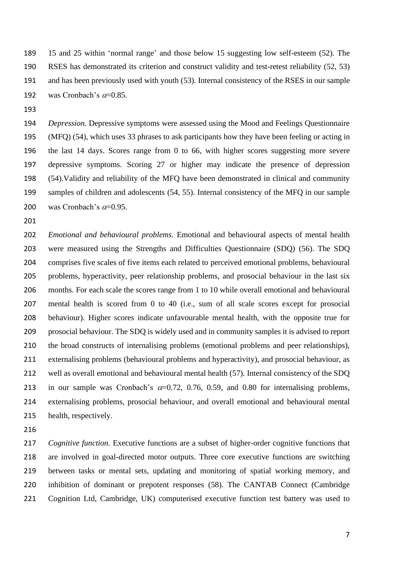15 and 25 within 'normal range' and those below 15 suggesting low self-esteem (52). The RSES has demonstrated its criterion and construct validity and test-retest reliability (52, 53) and has been previously used with youth (53). Internal consistency of the RSES in our sample 192 was Cronbach's  $\alpha$ =0.85.

 *Depression.* Depressive symptoms were assessed using the Mood and Feelings Questionnaire (MFQ) (54), which uses 33 phrases to ask participants how they have been feeling or acting in the last 14 days. Scores range from 0 to 66, with higher scores suggesting more severe depressive symptoms. Scoring 27 or higher may indicate the presence of depression (54).Validity and reliability of the MFQ have been demonstrated in clinical and community samples of children and adolescents (54, 55). Internal consistency of the MFQ in our sample 200 was Cronbach's  $\alpha$ =0.95.

 *Emotional and behavioural problems.* Emotional and behavioural aspects of mental health were measured using the Strengths and Difficulties Questionnaire (SDQ) (56). The SDQ comprises five scales of five items each related to perceived emotional problems, behavioural problems, hyperactivity, peer relationship problems, and prosocial behaviour in the last six months. For each scale the scores range from 1 to 10 while overall emotional and behavioural mental health is scored from 0 to 40 (i.e., sum of all scale scores except for prosocial behaviour). Higher scores indicate unfavourable mental health, with the opposite true for prosocial behaviour. The SDQ is widely used and in community samples it is advised to report the broad constructs of internalising problems (emotional problems and peer relationships), externalising problems (behavioural problems and hyperactivity), and prosocial behaviour, as well as overall emotional and behavioural mental health (57). Internal consistency of the SDQ 213 in our sample was Cronbach's  $\alpha$ =0.72, 0.76, 0.59, and 0.80 for internalising problems, externalising problems, prosocial behaviour, and overall emotional and behavioural mental health, respectively.

 *Cognitive function.* Executive functions are a subset of higher-order cognitive functions that are involved in goal-directed motor outputs. Three core executive functions are switching between tasks or mental sets, updating and monitoring of spatial working memory, and inhibition of dominant or prepotent responses (58). The CANTAB Connect (Cambridge Cognition Ltd, Cambridge, UK) computerised executive function test battery was used to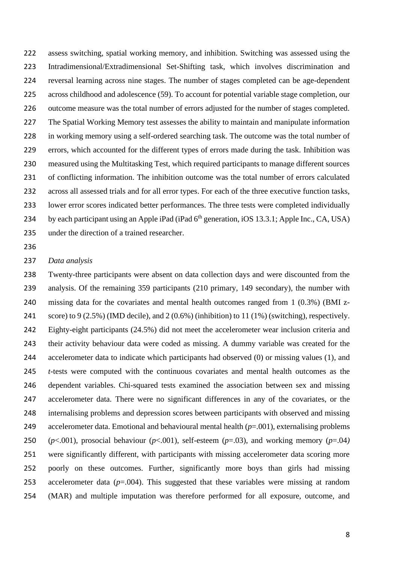assess switching, spatial working memory, and inhibition. Switching was assessed using the Intradimensional/Extradimensional Set-Shifting task, which involves discrimination and reversal learning across nine stages. The number of stages completed can be age-dependent across childhood and adolescence (59). To account for potential variable stage completion, our outcome measure was the total number of errors adjusted for the number of stages completed. The Spatial Working Memory test assesses the ability to maintain and manipulate information in working memory using a self-ordered searching task. The outcome was the total number of errors, which accounted for the different types of errors made during the task. Inhibition was measured using the Multitasking Test, which required participants to manage different sources of conflicting information. The inhibition outcome was the total number of errors calculated across all assessed trials and for all error types. For each of the three executive function tasks, lower error scores indicated better performances. The three tests were completed individually 234 by each participant using an Apple iPad (iPad  $6<sup>th</sup>$  generation, iOS 13.3.1; Apple Inc., CA, USA) under the direction of a trained researcher.

### *Data analysis*

 Twenty-three participants were absent on data collection days and were discounted from the analysis. Of the remaining 359 participants (210 primary, 149 secondary), the number with missing data for the covariates and mental health outcomes ranged from 1 (0.3%) (BMI z- score) to 9 (2.5%) (IMD decile), and 2 (0.6%) (inhibition) to 11 (1%) (switching), respectively. Eighty-eight participants (24.5%) did not meet the accelerometer wear inclusion criteria and their activity behaviour data were coded as missing. A dummy variable was created for the accelerometer data to indicate which participants had observed (0) or missing values (1), and *t*-tests were computed with the continuous covariates and mental health outcomes as the dependent variables. Chi-squared tests examined the association between sex and missing accelerometer data. There were no significant differences in any of the covariates, or the internalising problems and depression scores between participants with observed and missing accelerometer data. Emotional and behavioural mental health (*p*=.001), externalising problems (*p*<.001), prosocial behaviour (*p*<.001), self-esteem (*p*=.03), and working memory (*p*=.04*)* were significantly different, with participants with missing accelerometer data scoring more poorly on these outcomes. Further, significantly more boys than girls had missing 253 accelerometer data  $(p=.004)$ . This suggested that these variables were missing at random (MAR) and multiple imputation was therefore performed for all exposure, outcome, and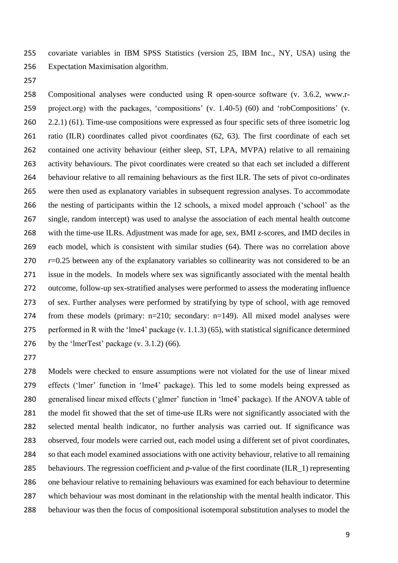covariate variables in IBM SPSS Statistics (version 25, IBM Inc., NY, USA) using the Expectation Maximisation algorithm.

 Compositional analyses were conducted using R open-source software (v. 3.6.2, www.r- project.org) with the packages, 'compositions' (v. 1.40-5) (60) and 'robCompositions' (v. 260 2.2.1) (61). Time-use compositions were expressed as four specific sets of three isometric log ratio (ILR) coordinates called pivot coordinates (62, 63). The first coordinate of each set contained one activity behaviour (either sleep, ST, LPA, MVPA) relative to all remaining activity behaviours. The pivot coordinates were created so that each set included a different behaviour relative to all remaining behaviours as the first ILR. The sets of pivot co-ordinates were then used as explanatory variables in subsequent regression analyses. To accommodate the nesting of participants within the 12 schools, a mixed model approach ('school' as the single, random intercept) was used to analyse the association of each mental health outcome with the time-use ILRs. Adjustment was made for age, sex, BMI z-scores, and IMD deciles in each model, which is consistent with similar studies (64). There was no correlation above *r*=0.25 between any of the explanatory variables so collinearity was not considered to be an issue in the models. In models where sex was significantly associated with the mental health outcome, follow-up sex-stratified analyses were performed to assess the moderating influence of sex. Further analyses were performed by stratifying by type of school, with age removed from these models (primary: n=210; secondary: n=149). All mixed model analyses were performed in R with the 'lme4' package (v. 1.1.3) (65), with statistical significance determined 276 by the 'lmerTest' package  $(v. 3.1.2)$  (66).

 Models were checked to ensure assumptions were not violated for the use of linear mixed effects ('lmer' function in 'lme4' package). This led to some models being expressed as generalised linear mixed effects ('glmer' function in 'lme4' package). If the ANOVA table of the model fit showed that the set of time-use ILRs were not significantly associated with the selected mental health indicator, no further analysis was carried out. If significance was observed, four models were carried out, each model using a different set of pivot coordinates, so that each model examined associations with one activity behaviour, relative to all remaining behaviours. The regression coefficient and *p*-value of the first coordinate (ILR\_1) representing one behaviour relative to remaining behaviours was examined for each behaviour to determine which behaviour was most dominant in the relationship with the mental health indicator. This behaviour was then the focus of compositional isotemporal substitution analyses to model the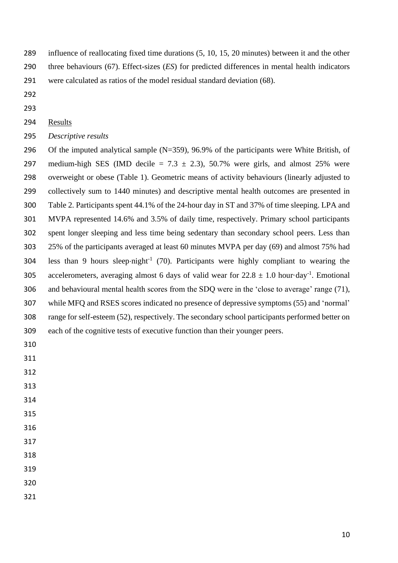- influence of reallocating fixed time durations (5, 10, 15, 20 minutes) between it and the other three behaviours (67). Effect-sizes (*ES*) for predicted differences in mental health indicators
- were calculated as ratios of the model residual standard deviation (68).
- 
- 

# Results

*Descriptive results*

 Of the imputed analytical sample (N=359), 96.9% of the participants were White British, of 297 medium-high SES (IMD decile  $= 7.3 \pm 2.3$ ), 50.7% were girls, and almost 25% were overweight or obese (Table 1). Geometric means of activity behaviours (linearly adjusted to collectively sum to 1440 minutes) and descriptive mental health outcomes are presented in Table 2. Participants spent 44.1% of the 24-hour day in ST and 37% of time sleeping. LPA and MVPA represented 14.6% and 3.5% of daily time, respectively. Primary school participants spent longer sleeping and less time being sedentary than secondary school peers. Less than 25% of the participants averaged at least 60 minutes MVPA per day (69) and almost 75% had 304 less than 9 hours sleep $\cdot$ night<sup>-1</sup> (70). Participants were highly compliant to wearing the 305 accelerometers, averaging almost 6 days of valid wear for  $22.8 \pm 1.0$  hour·day<sup>-1</sup>. Emotional and behavioural mental health scores from the SDQ were in the 'close to average' range (71), while MFQ and RSES scores indicated no presence of depressive symptoms (55) and 'normal' range for self-esteem (52), respectively. The secondary school participants performed better on each of the cognitive tests of executive function than their younger peers.

- 
- 
- 
- 
- 
- 
- 
- 
-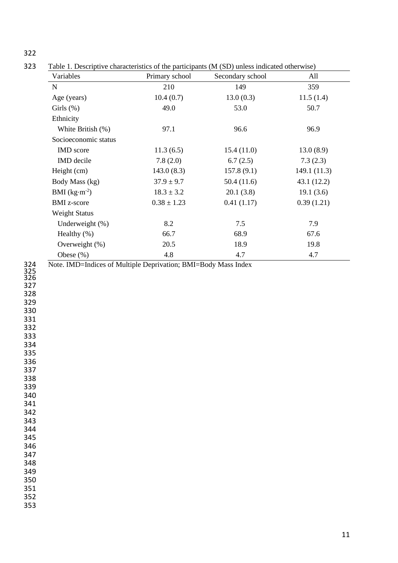| ۰. |  |
|----|--|
|    |  |

Table 1. Descriptive characteristics of the participants (M (SD) unless indicated otherwise)

| Variables            | Primary school  | Secondary school | All         |
|----------------------|-----------------|------------------|-------------|
| $\mathbf N$          | 210             | 149              | 359         |
| Age (years)          | 10.4(0.7)       | 13.0(0.3)        | 11.5(1.4)   |
| Girls $(\%)$         | 49.0            | 53.0             | 50.7        |
| Ethnicity            |                 |                  |             |
| White British (%)    | 97.1            | 96.6             | 96.9        |
| Socioeconomic status |                 |                  |             |
| IMD score            | 11.3(6.5)       | 15.4(11.0)       | 13.0(8.9)   |
| <b>IMD</b> decile    | 7.8(2.0)        | 6.7(2.5)         | 7.3(2.3)    |
| Height (cm)          | 143.0(8.3)      | 157.8(9.1)       | 149.1(11.3) |
| Body Mass (kg)       | $37.9 \pm 9.7$  | 50.4(11.6)       | 43.1(12.2)  |
| BMI $(kg·m-2)$       | $18.3 \pm 3.2$  | 20.1(3.8)        | 19.1(3.6)   |
| <b>BMI</b> z-score   | $0.38 \pm 1.23$ | 0.41(1.17)       | 0.39(1.21)  |
| <b>Weight Status</b> |                 |                  |             |
| Underweight (%)      | 8.2             | 7.5              | 7.9         |
| Healthy $(\%)$       | 66.7            | 68.9             | 67.6        |
| Overweight (%)       | 20.5            | 18.9             | 19.8        |
| Obese $(\%)$         | 4.8             | 4.7              | 4.7         |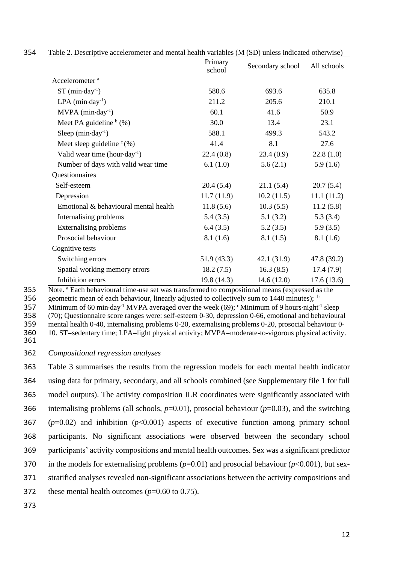|                                           | Primary<br>school | Secondary school | All schools |
|-------------------------------------------|-------------------|------------------|-------------|
| Accelerometer <sup>a</sup>                |                   |                  |             |
| $ST$ (min $\cdot$ day <sup>-1</sup> )     | 580.6             | 693.6            | 635.8       |
| $LPA$ (min $\cdot$ day <sup>-1</sup> )    | 211.2             | 205.6            | 210.1       |
| $MVPA$ (min $\cdot$ day <sup>-1</sup> )   | 60.1              | 41.6             | 50.9        |
| Meet PA guideline $b(%)$                  | 30.0              | 13.4             | 23.1        |
| Sleep $(min \cdot day^{-1})$              | 588.1             | 499.3            | 543.2       |
| Meet sleep guideline $c(x)$               | 41.4              | 8.1              | 27.6        |
| Valid wear time (hour day <sup>-1</sup> ) | 22.4(0.8)         | 23.4(0.9)        | 22.8(1.0)   |
| Number of days with valid wear time       | 6.1(1.0)          | 5.6(2.1)         | 5.9(1.6)    |
| Questionnaires                            |                   |                  |             |
| Self-esteem                               | 20.4(5.4)         | 21.1(5.4)        | 20.7(5.4)   |
| Depression                                | 11.7(11.9)        | 10.2(11.5)       | 11.1(11.2)  |
| Emotional & behavioural mental health     | 11.8(5.6)         | 10.3(5.5)        | 11.2(5.8)   |
| Internalising problems                    | 5.4(3.5)          | 5.1(3.2)         | 5.3(3.4)    |
| <b>Externalising problems</b>             | 6.4(3.5)          | 5.2(3.5)         | 5.9(3.5)    |
| Prosocial behaviour                       | 8.1(1.6)          | 8.1(1.5)         | 8.1(1.6)    |
| Cognitive tests                           |                   |                  |             |
| Switching errors                          | 51.9(43.3)        | 42.1(31.9)       | 47.8 (39.2) |
| Spatial working memory errors             | 18.2(7.5)         | 16.3(8.5)        | 17.4(7.9)   |
| Inhibition errors                         | 19.8 (14.3)       | 14.6(12.0)       | 17.6(13.6)  |

354 Table 2. Descriptive accelerometer and mental health variables (M (SD) unless indicated otherwise)

Note. <sup>a</sup> 355 Each behavioural time-use set was transformed to compositional means (expressed as the

356 geometric mean of each behaviour, linearly adjusted to collectively sum to 1440 minutes);  $\frac{1}{2}$ 

357 Minimum of 60 min $\cdot$ day<sup>-1</sup> MVPA averaged over the week (69); <sup>c</sup>Minimum of 9 hours $\cdot$ night<sup>-1</sup> sleep

358 (70); Questionnaire score ranges were: self-esteem 0-30, depression 0-66, emotional and behavioural

359 mental health 0-40, internalising problems 0-20, externalising problems 0-20, prosocial behaviour 0-<br>360 10. ST=sedentary time; LPA=light physical activity; MVPA=moderate-to-vigorous physical activity.

360 10. ST=sedentary time; LPA=light physical activity; MVPA=moderate-to-vigorous physical activity.

361

### 362 *Compositional regression analyses*

 Table 3 summarises the results from the regression models for each mental health indicator using data for primary, secondary, and all schools combined (see Supplementary file 1 for full model outputs). The activity composition ILR coordinates were significantly associated with internalising problems (all schools, *p*=0.01), prosocial behaviour (*p*=0.03), and the switching (*p*=0.02) and inhibition (*p*<0.001) aspects of executive function among primary school participants. No significant associations were observed between the secondary school participants' activity compositions and mental health outcomes. Sex was a significant predictor 370 in the models for externalising problems  $(p=0.01)$  and prosocial behaviour  $(p<0.001)$ , but sex- stratified analyses revealed non-significant associations between the activity compositions and these mental health outcomes (*p*=0.60 to 0.75).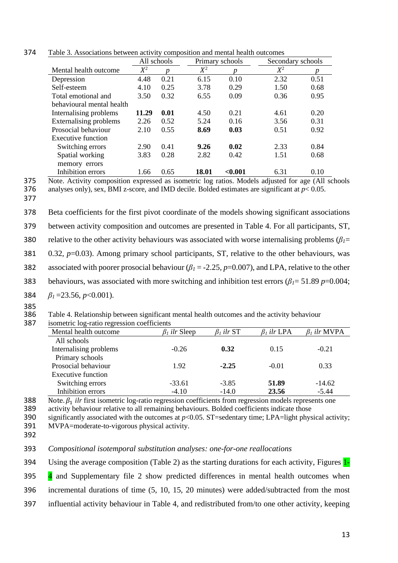|                               | All schools |      |       | Primary schools | Secondary schools |      |
|-------------------------------|-------------|------|-------|-----------------|-------------------|------|
| Mental health outcome         | $X^2$       | Ŋ    | $X^2$ | p               | $X^2$             | p    |
| Depression                    | 4.48        | 0.21 | 6.15  | 0.10            | 2.32              | 0.51 |
| Self-esteem                   | 4.10        | 0.25 | 3.78  | 0.29            | 1.50              | 0.68 |
| Total emotional and           | 3.50        | 0.32 | 6.55  | 0.09            | 0.36              | 0.95 |
| behavioural mental health     |             |      |       |                 |                   |      |
| Internalising problems        | 11.29       | 0.01 | 4.50  | 0.21            | 4.61              | 0.20 |
| <b>Externalising problems</b> | 2.26        | 0.52 | 5.24  | 0.16            | 3.56              | 0.31 |
| Prosocial behaviour           | 2.10        | 0.55 | 8.69  | 0.03            | 0.51              | 0.92 |
| Executive function            |             |      |       |                 |                   |      |
| Switching errors              | 2.90        | 0.41 | 9.26  | 0.02            | 2.33              | 0.84 |
| Spatial working               | 3.83        | 0.28 | 2.82  | 0.42            | 1.51              | 0.68 |
| memory errors                 |             |      |       |                 |                   |      |
| Inhibition errors             | 1.66        | 0.65 | 18.01 | < 0.001         | 6.31              | 0.10 |

374 Table 3. Associations between activity composition and mental health outcomes

375 Note. Activity composition expressed as isometric log ratios. Models adjusted for age (All schools

377

376 analyses only), sex, BMI z-score, and IMD decile. Bolded estimates are significant at *p*< 0.05.

- 378 Beta coefficients for the first pivot coordinate of the models showing significant associations 379 between activity composition and outcomes are presented in Table 4. For all participants, ST, 380 relative to the other activity behaviours was associated with worse internalising problems ( $\beta_l$ = 381 0.32, *p*=0.03). Among primary school participants, ST, relative to the other behaviours, was 382 associated with poorer prosocial behaviour (*β<sup>1</sup>* = -2.25, *p*=0.007), and LPA, relative to the other 383 behaviours, was associated with more switching and inhibition test errors (*β1*= 51.89 *p*=0.004; 384 *β1* =23.56, *p*<0.001).
- 

385<br>386 Table 4. Relationship between significant mental health outcomes and the activity behaviour isometric log-ratio regression coefficients

| 387 | isometric log-ratio regression coefficients |                     |                  |                   |                    |
|-----|---------------------------------------------|---------------------|------------------|-------------------|--------------------|
|     | Mental health outcome                       | $\beta_1$ ilr Sleep | $\beta_i$ ilr ST | $\beta_I$ ilr LPA | $\beta_I$ ilr MVPA |
|     | All schools                                 |                     |                  |                   |                    |
|     | Internalising problems                      | $-0.26$             | 0.32             | 0.15              | $-0.21$            |
|     | Primary schools                             |                     |                  |                   |                    |
|     | Prosocial behaviour                         | 1.92                | $-2.25$          | $-0.01$           | 0.33               |
|     | Executive function                          |                     |                  |                   |                    |
|     | Switching errors                            | $-33.61$            | $-3.85$          | 51.89             | $-14.62$           |
|     | Inhibition errors                           | $-4.10$             | $-14.0$          | 23.56             | $-5.44$            |

388 Note.  $\beta_1$  *ilr* first isometric log-ratio regression coefficients from regression models represents one<br>389 activity behaviour relative to all remaining behaviours. Bolded coefficients indicate those

389 activity behaviour relative to all remaining behaviours. Bolded coefficients indicate those<br>390 significantly associated with the outcomes at  $p<0.05$ . ST=sedentary time: LPA=light phys

significantly associated with the outcomes at  $p<0.05$ . ST=sedentary time; LPA=light physical activity; 391 MVPA=moderate-to-vigorous physical activity.

392

## 393 *Compositional isotemporal substitution analyses: one-for-one reallocations*

394 Using the average composition (Table 2) as the starting durations for each activity, Figures 1-

395 4 and Supplementary file 2 show predicted differences in mental health outcomes when

396 incremental durations of time (5, 10, 15, 20 minutes) were added/subtracted from the most

397 influential activity behaviour in Table 4, and redistributed from/to one other activity, keeping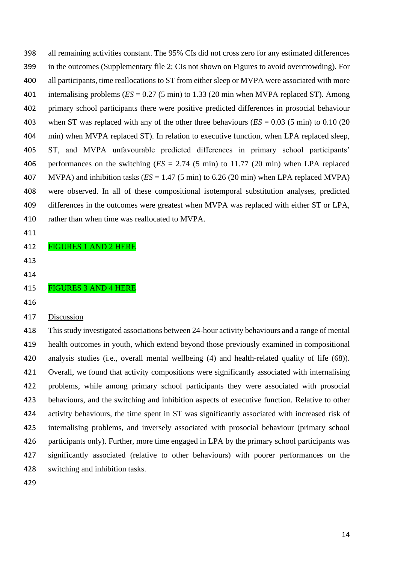all remaining activities constant. The 95% CIs did not cross zero for any estimated differences in the outcomes (Supplementary file 2; CIs not shown on Figures to avoid overcrowding). For all participants, time reallocations to ST from either sleep or MVPA were associated with more internalising problems (*ES* = 0.27 (5 min) to 1.33 (20 min when MVPA replaced ST). Among primary school participants there were positive predicted differences in prosocial behaviour when ST was replaced with any of the other three behaviours (*ES* = 0.03 (5 min) to 0.10 (20 min) when MVPA replaced ST). In relation to executive function, when LPA replaced sleep, ST, and MVPA unfavourable predicted differences in primary school participants' performances on the switching (*ES* = 2.74 (5 min) to 11.77 (20 min) when LPA replaced MVPA) and inhibition tasks (*ES* = 1.47 (5 min) to 6.26 (20 min) when LPA replaced MVPA) were observed. In all of these compositional isotemporal substitution analyses, predicted differences in the outcomes were greatest when MVPA was replaced with either ST or LPA, rather than when time was reallocated to MVPA.

- 
- FIGURES 1 AND 2 HERE
- 

# 

# FIGURES 3 AND 4 HERE

- 
- Discussion

 This study investigated associations between 24-hour activity behaviours and a range of mental health outcomes in youth, which extend beyond those previously examined in compositional analysis studies (i.e., overall mental wellbeing (4) and health-related quality of life (68)). Overall, we found that activity compositions were significantly associated with internalising problems, while among primary school participants they were associated with prosocial behaviours, and the switching and inhibition aspects of executive function. Relative to other activity behaviours, the time spent in ST was significantly associated with increased risk of internalising problems, and inversely associated with prosocial behaviour (primary school participants only). Further, more time engaged in LPA by the primary school participants was significantly associated (relative to other behaviours) with poorer performances on the switching and inhibition tasks.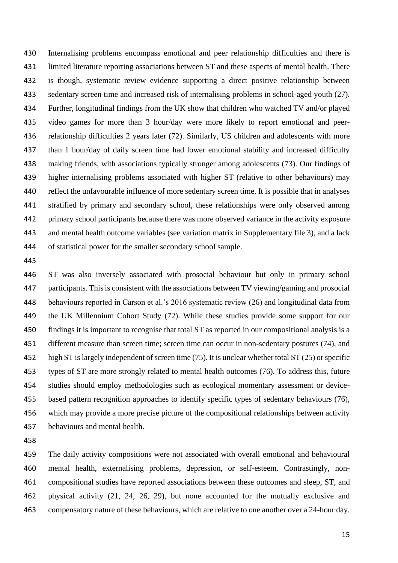Internalising problems encompass emotional and peer relationship difficulties and there is limited literature reporting associations between ST and these aspects of mental health. There is though, systematic review evidence supporting a direct positive relationship between sedentary screen time and increased risk of internalising problems in school-aged youth (27). Further, longitudinal findings from the UK show that children who watched TV and/or played video games for more than 3 hour/day were more likely to report emotional and peer- relationship difficulties 2 years later (72). Similarly, US children and adolescents with more than 1 hour/day of daily screen time had lower emotional stability and increased difficulty making friends, with associations typically stronger among adolescents (73). Our findings of higher internalising problems associated with higher ST (relative to other behaviours) may reflect the unfavourable influence of more sedentary screen time. It is possible that in analyses stratified by primary and secondary school, these relationships were only observed among primary school participants because there was more observed variance in the activity exposure and mental health outcome variables (see variation matrix in Supplementary file 3), and a lack of statistical power for the smaller secondary school sample.

 ST was also inversely associated with prosocial behaviour but only in primary school participants. This is consistent with the associations between TV viewing/gaming and prosocial behaviours reported in Carson et al.'s 2016 systematic review (26) and longitudinal data from the UK Millennium Cohort Study (72). While these studies provide some support for our findings it is important to recognise that total ST as reported in our compositional analysis is a different measure than screen time; screen time can occur in non-sedentary postures (74), and high ST is largely independent of screen time (75). It is unclear whether total ST (25) or specific types of ST are more strongly related to mental health outcomes (76). To address this, future studies should employ methodologies such as ecological momentary assessment or device- based pattern recognition approaches to identify specific types of sedentary behaviours (76), which may provide a more precise picture of the compositional relationships between activity behaviours and mental health.

 The daily activity compositions were not associated with overall emotional and behavioural mental health, externalising problems, depression, or self-esteem. Contrastingly, non- compositional studies have reported associations between these outcomes and sleep, ST, and physical activity (21, 24, 26, 29), but none accounted for the mutually exclusive and compensatory nature of these behaviours, which are relative to one another over a 24-hour day.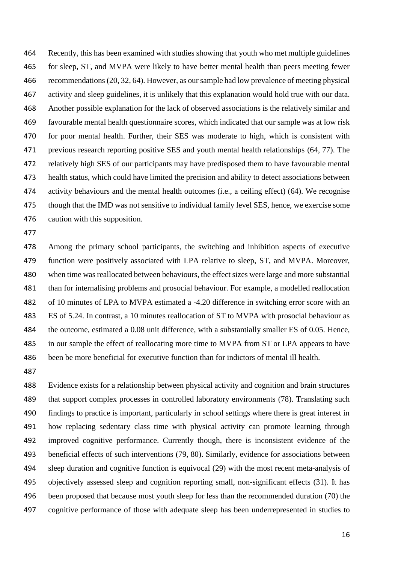Recently, this has been examined with studies showing that youth who met multiple guidelines for sleep, ST, and MVPA were likely to have better mental health than peers meeting fewer recommendations (20, 32, 64). However, as our sample had low prevalence of meeting physical activity and sleep guidelines, it is unlikely that this explanation would hold true with our data. Another possible explanation for the lack of observed associations is the relatively similar and favourable mental health questionnaire scores, which indicated that our sample was at low risk for poor mental health. Further, their SES was moderate to high, which is consistent with previous research reporting positive SES and youth mental health relationships (64, 77). The relatively high SES of our participants may have predisposed them to have favourable mental health status, which could have limited the precision and ability to detect associations between activity behaviours and the mental health outcomes (i.e., a ceiling effect) (64). We recognise though that the IMD was not sensitive to individual family level SES, hence, we exercise some caution with this supposition.

 Among the primary school participants, the switching and inhibition aspects of executive function were positively associated with LPA relative to sleep, ST, and MVPA. Moreover, when time was reallocated between behaviours, the effect sizes were large and more substantial than for internalising problems and prosocial behaviour. For example, a modelled reallocation of 10 minutes of LPA to MVPA estimated a -4.20 difference in switching error score with an ES of 5.24. In contrast, a 10 minutes reallocation of ST to MVPA with prosocial behaviour as the outcome, estimated a 0.08 unit difference, with a substantially smaller ES of 0.05. Hence, in our sample the effect of reallocating more time to MVPA from ST or LPA appears to have been be more beneficial for executive function than for indictors of mental ill health.

 Evidence exists for a relationship between physical activity and cognition and brain structures 489 that support complex processes in controlled laboratory environments (78). Translating such findings to practice is important, particularly in school settings where there is great interest in how replacing sedentary class time with physical activity can promote learning through improved cognitive performance. Currently though, there is inconsistent evidence of the beneficial effects of such interventions (79, 80). Similarly, evidence for associations between sleep duration and cognitive function is equivocal (29) with the most recent meta-analysis of objectively assessed sleep and cognition reporting small, non-significant effects (31). It has been proposed that because most youth sleep for less than the recommended duration (70) the cognitive performance of those with adequate sleep has been underrepresented in studies to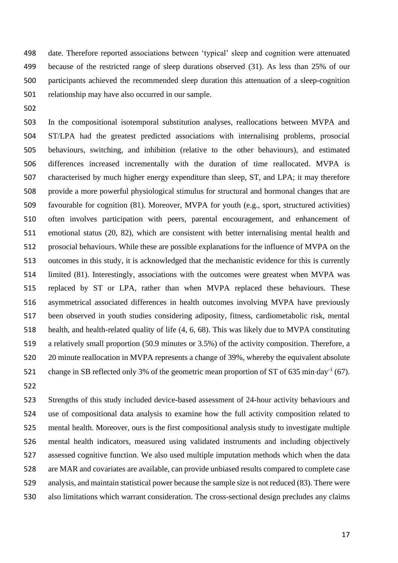date. Therefore reported associations between 'typical' sleep and cognition were attenuated because of the restricted range of sleep durations observed (31). As less than 25% of our participants achieved the recommended sleep duration this attenuation of a sleep-cognition relationship may have also occurred in our sample.

 In the compositional isotemporal substitution analyses, reallocations between MVPA and ST/LPA had the greatest predicted associations with internalising problems, prosocial behaviours, switching, and inhibition (relative to the other behaviours), and estimated differences increased incrementally with the duration of time reallocated. MVPA is characterised by much higher energy expenditure than sleep, ST, and LPA; it may therefore provide a more powerful physiological stimulus for structural and hormonal changes that are favourable for cognition (81). Moreover, MVPA for youth (e.g., sport, structured activities) often involves participation with peers, parental encouragement, and enhancement of emotional status (20, 82), which are consistent with better internalising mental health and prosocial behaviours. While these are possible explanations for the influence of MVPA on the outcomes in this study, it is acknowledged that the mechanistic evidence for this is currently limited (81). Interestingly, associations with the outcomes were greatest when MVPA was replaced by ST or LPA, rather than when MVPA replaced these behaviours. These asymmetrical associated differences in health outcomes involving MVPA have previously been observed in youth studies considering adiposity, fitness, cardiometabolic risk, mental health, and health-related quality of life (4, 6, 68). This was likely due to MVPA constituting a relatively small proportion (50.9 minutes or 3.5%) of the activity composition. Therefore, a 20 minute reallocation in MVPA represents a change of 39%, whereby the equivalent absolute 521 change in SB reflected only 3% of the geometric mean proportion of ST of 635 min $\cdot$ day<sup>-1</sup> (67). 

 Strengths of this study included device-based assessment of 24-hour activity behaviours and use of compositional data analysis to examine how the full activity composition related to mental health. Moreover, ours is the first compositional analysis study to investigate multiple mental health indicators, measured using validated instruments and including objectively assessed cognitive function. We also used multiple imputation methods which when the data are MAR and covariates are available, can provide unbiased results compared to complete case analysis, and maintain statistical power because the sample size is not reduced (83). There were also limitations which warrant consideration. The cross-sectional design precludes any claims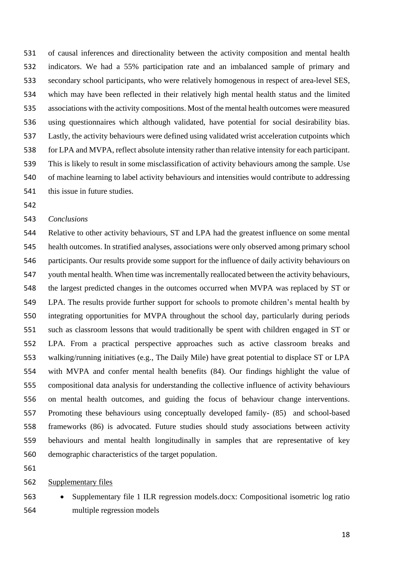of causal inferences and directionality between the activity composition and mental health indicators. We had a 55% participation rate and an imbalanced sample of primary and secondary school participants, who were relatively homogenous in respect of area-level SES, which may have been reflected in their relatively high mental health status and the limited associations with the activity compositions. Most of the mental health outcomes were measured using questionnaires which although validated, have potential for social desirability bias. Lastly, the activity behaviours were defined using validated wrist acceleration cutpoints which for LPA and MVPA, reflect absolute intensity rather than relative intensity for each participant. This is likely to result in some misclassification of activity behaviours among the sample. Use of machine learning to label activity behaviours and intensities would contribute to addressing this issue in future studies.

#### *Conclusions*

 Relative to other activity behaviours, ST and LPA had the greatest influence on some mental health outcomes. In stratified analyses, associations were only observed among primary school participants. Our results provide some support for the influence of daily activity behaviours on youth mental health. When time was incrementally reallocated between the activity behaviours, the largest predicted changes in the outcomes occurred when MVPA was replaced by ST or LPA. The results provide further support for schools to promote children's mental health by integrating opportunities for MVPA throughout the school day, particularly during periods such as classroom lessons that would traditionally be spent with children engaged in ST or LPA. From a practical perspective approaches such as active classroom breaks and walking/running initiatives (e.g., The Daily Mile) have great potential to displace ST or LPA with MVPA and confer mental health benefits (84). Our findings highlight the value of compositional data analysis for understanding the collective influence of activity behaviours on mental health outcomes, and guiding the focus of behaviour change interventions. Promoting these behaviours using conceptually developed family- (85) and school-based frameworks (86) is advocated. Future studies should study associations between activity behaviours and mental health longitudinally in samples that are representative of key demographic characteristics of the target population.

#### Supplementary files

 • Supplementary file 1 ILR regression models.docx: Compositional isometric log ratio multiple regression models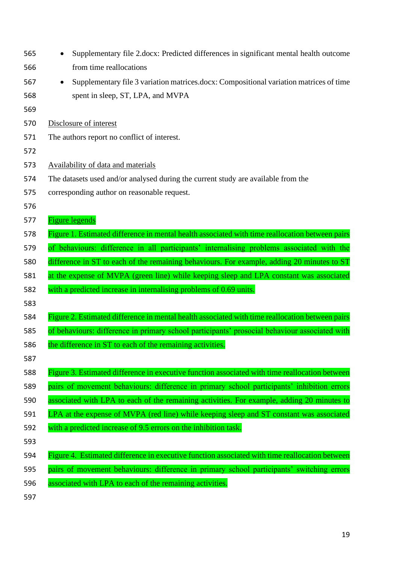| 565 | Supplementary file 2.docx: Predicted differences in significant mental health outcome               |
|-----|-----------------------------------------------------------------------------------------------------|
| 566 | from time reallocations                                                                             |
| 567 | Supplementary file 3 variation matrices.docx: Compositional variation matrices of time<br>$\bullet$ |
| 568 | spent in sleep, ST, LPA, and MVPA                                                                   |
| 569 |                                                                                                     |
| 570 | Disclosure of interest                                                                              |
| 571 | The authors report no conflict of interest.                                                         |
| 572 |                                                                                                     |
| 573 | <b>Availability of data and materials</b>                                                           |
| 574 | The datasets used and/or analysed during the current study are available from the                   |
| 575 | corresponding author on reasonable request.                                                         |
| 576 |                                                                                                     |
| 577 | <b>Figure legends</b>                                                                               |
| 578 | Figure 1. Estimated difference in mental health associated with time reallocation between pairs     |
| 579 | of behaviours: difference in all participants' internalising problems associated with the           |
| 580 | difference in ST to each of the remaining behaviours. For example, adding 20 minutes to ST          |
| 581 | at the expense of MVPA (green line) while keeping sleep and LPA constant was associated             |
| 582 | with a predicted increase in internalising problems of 0.69 units.                                  |
| 583 |                                                                                                     |
| 584 | Figure 2. Estimated difference in mental health associated with time reallocation between pairs     |
| 585 | of behaviours: difference in primary school participants' prosocial behaviour associated with       |
| 586 | the difference in ST to each of the remaining activities.                                           |
| 587 |                                                                                                     |
| 588 | Figure 3. Estimated difference in executive function associated with time reallocation between      |
| 589 | pairs of movement behaviours: difference in primary school participants' inhibition errors          |
| 590 | associated with LPA to each of the remaining activities. For example, adding 20 minutes to          |
| 591 | LPA at the expense of MVPA (red line) while keeping sleep and ST constant was associated            |
| 592 | with a predicted increase of 9.5 errors on the inhibition task.                                     |
| 593 |                                                                                                     |
|     | Figure 4. Estimated difference in executive function associated with time reallocation between      |
| 594 |                                                                                                     |
| 595 | pairs of movement behaviours: difference in primary school participants' switching errors           |
| 596 | associated with LPA to each of the remaining activities.                                            |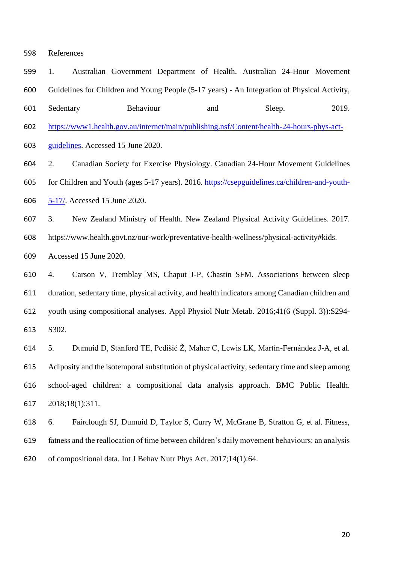#### References

 1. Australian Government Department of Health. Australian 24-Hour Movement Guidelines for Children and Young People (5-17 years) - An Integration of Physical Activity,

601 Sedentary Behaviour and Sleep. 2019.

[https://www1.health.gov.au/internet/main/publishing.nsf/Content/health-24-hours-phys-act-](https://www1.health.gov.au/internet/main/publishing.nsf/Content/health-24-hours-phys-act-guidelines)

[guidelines.](https://www1.health.gov.au/internet/main/publishing.nsf/Content/health-24-hours-phys-act-guidelines) Accessed 15 June 2020.

2. Canadian Society for Exercise Physiology. Canadian 24-Hour Movement Guidelines

 for Children and Youth (ages 5-17 years). 2016. [https://csepguidelines.ca/children-and-youth-](https://csepguidelines.ca/children-and-youth-5-17/)[5-17/.](https://csepguidelines.ca/children-and-youth-5-17/) Accessed 15 June 2020.

3. New Zealand Ministry of Health. New Zealand Physical Activity Guidelines. 2017.

https://www.health.govt.nz/our-work/preventative-health-wellness/physical-activity#kids.

Accessed 15 June 2020.

 4. Carson V, Tremblay MS, Chaput J-P, Chastin SFM. Associations between sleep duration, sedentary time, physical activity, and health indicators among Canadian children and youth using compositional analyses. Appl Physiol Nutr Metab. 2016;41(6 (Suppl. 3)):S294- S302.

 5. Dumuid D, Stanford TE, Pedišić Ž, Maher C, Lewis LK, Martín-Fernández J-A, et al. Adiposity and the isotemporal substitution of physical activity, sedentary time and sleep among school-aged children: a compositional data analysis approach. BMC Public Health. 2018;18(1):311.

 6. Fairclough SJ, Dumuid D, Taylor S, Curry W, McGrane B, Stratton G, et al. Fitness, fatness and the reallocation of time between children's daily movement behaviours: an analysis of compositional data. Int J Behav Nutr Phys Act. 2017;14(1):64.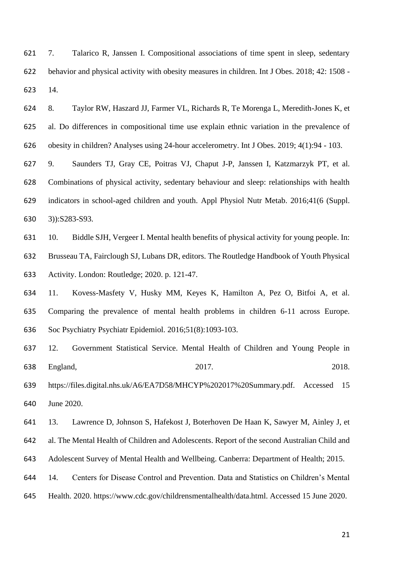7. Talarico R, Janssen I. Compositional associations of time spent in sleep, sedentary behavior and physical activity with obesity measures in children. Int J Obes. 2018; 42: 1508 - 14.

 8. Taylor RW, Haszard JJ, Farmer VL, Richards R, Te Morenga L, Meredith-Jones K, et al. Do differences in compositional time use explain ethnic variation in the prevalence of obesity in children? Analyses using 24-hour accelerometry. Int J Obes. 2019; 4(1):94 - 103.

 9. Saunders TJ, Gray CE, Poitras VJ, Chaput J-P, Janssen I, Katzmarzyk PT, et al. Combinations of physical activity, sedentary behaviour and sleep: relationships with health indicators in school-aged children and youth. Appl Physiol Nutr Metab. 2016;41(6 (Suppl. 3)):S283-S93.

 10. Biddle SJH, Vergeer I. Mental health benefits of physical activity for young people. In: Brusseau TA, Fairclough SJ, Lubans DR, editors. The Routledge Handbook of Youth Physical Activity. London: Routledge; 2020. p. 121-47.

 11. Kovess-Masfety V, Husky MM, Keyes K, Hamilton A, Pez O, Bitfoi A, et al. Comparing the prevalence of mental health problems in children 6-11 across Europe. Soc Psychiatry Psychiatr Epidemiol. 2016;51(8):1093-103.

 12. Government Statistical Service. Mental Health of Children and Young People in 638 England, 2017. 2018.

 https://files.digital.nhs.uk/A6/EA7D58/MHCYP%202017%20Summary.pdf. Accessed 15 June 2020.

 13. Lawrence D, Johnson S, Hafekost J, Boterhoven De Haan K, Sawyer M, Ainley J, et al. The Mental Health of Children and Adolescents. Report of the second Australian Child and Adolescent Survey of Mental Health and Wellbeing. Canberra: Department of Health; 2015.

14. Centers for Disease Control and Prevention. Data and Statistics on Children's Mental

Health. 2020. https://www.cdc.gov/childrensmentalhealth/data.html. Accessed 15 June 2020.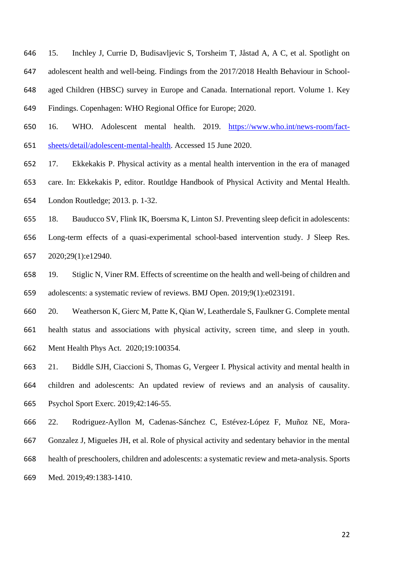15. Inchley J, Currie D, Budisavljevic S, Torsheim T, Jåstad A, A C, et al. Spotlight on adolescent health and well-being. Findings from the 2017/2018 Health Behaviour in School- aged Children (HBSC) survey in Europe and Canada. International report. Volume 1. Key Findings. Copenhagen: WHO Regional Office for Europe; 2020.

 16. WHO. Adolescent mental health. 2019. [https://www.who.int/news-room/fact-](https://www.who.int/news-room/fact-sheets/detail/adolescent-mental-health)[sheets/detail/adolescent-mental-health.](https://www.who.int/news-room/fact-sheets/detail/adolescent-mental-health) Accessed 15 June 2020.

17. Ekkekakis P. Physical activity as a mental health intervention in the era of managed

care. In: Ekkekakis P, editor. Routldge Handbook of Physical Activity and Mental Health.

London Routledge; 2013. p. 1-32.

18. Bauducco SV, Flink IK, Boersma K, Linton SJ. Preventing sleep deficit in adolescents:

 Long-term effects of a quasi-experimental school-based intervention study. J Sleep Res. 2020;29(1):e12940.

 19. Stiglic N, Viner RM. Effects of screentime on the health and well-being of children and adolescents: a systematic review of reviews. BMJ Open. 2019;9(1):e023191.

 20. Weatherson K, Gierc M, Patte K, Qian W, Leatherdale S, Faulkner G. Complete mental health status and associations with physical activity, screen time, and sleep in youth. Ment Health Phys Act. 2020;19:100354.

 21. Biddle SJH, Ciaccioni S, Thomas G, Vergeer I. Physical activity and mental health in children and adolescents: An updated review of reviews and an analysis of causality. Psychol Sport Exerc. 2019;42:146-55.

 22. Rodriguez-Ayllon M, Cadenas-Sánchez C, Estévez-López F, Muñoz NE, Mora- Gonzalez J, Migueles JH, et al. Role of physical activity and sedentary behavior in the mental health of preschoolers, children and adolescents: a systematic review and meta-analysis. Sports Med. 2019;49:1383-1410.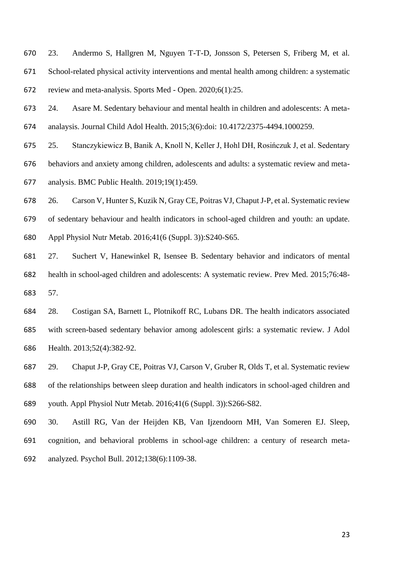23. Andermo S, Hallgren M, Nguyen T-T-D, Jonsson S, Petersen S, Friberg M, et al. School-related physical activity interventions and mental health among children: a systematic review and meta-analysis. Sports Med - Open. 2020;6(1):25.

 24. Asare M. Sedentary behaviour and mental health in children and adolescents: A meta-analaysis. Journal Child Adol Health. 2015;3(6):doi: 10.4172/2375-4494.1000259.

 25. Stanczykiewicz B, Banik A, Knoll N, Keller J, Hohl DH, Rosińczuk J, et al. Sedentary behaviors and anxiety among children, adolescents and adults: a systematic review and meta-analysis. BMC Public Health. 2019;19(1):459.

 26. Carson V, Hunter S, Kuzik N, Gray CE, Poitras VJ, Chaput J-P, et al. Systematic review of sedentary behaviour and health indicators in school-aged children and youth: an update. Appl Physiol Nutr Metab. 2016;41(6 (Suppl. 3)):S240-S65.

 27. Suchert V, Hanewinkel R, Isensee B. Sedentary behavior and indicators of mental health in school-aged children and adolescents: A systematic review. Prev Med. 2015;76:48- 57.

 28. Costigan SA, Barnett L, Plotnikoff RC, Lubans DR. The health indicators associated with screen-based sedentary behavior among adolescent girls: a systematic review. J Adol Health. 2013;52(4):382-92.

 29. Chaput J-P, Gray CE, Poitras VJ, Carson V, Gruber R, Olds T, et al. Systematic review of the relationships between sleep duration and health indicators in school-aged children and youth. Appl Physiol Nutr Metab. 2016;41(6 (Suppl. 3)):S266-S82.

 30. Astill RG, Van der Heijden KB, Van Ijzendoorn MH, Van Someren EJ. Sleep, cognition, and behavioral problems in school-age children: a century of research meta-analyzed. Psychol Bull. 2012;138(6):1109-38.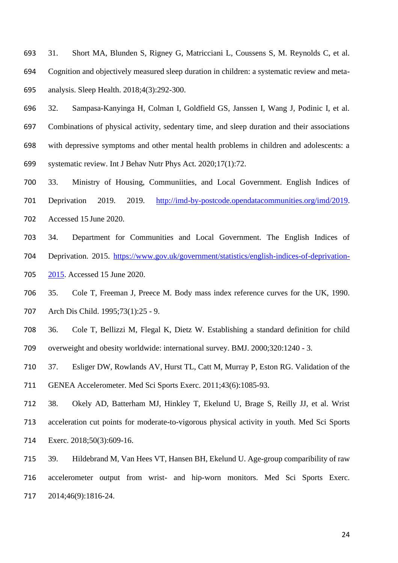31. Short MA, Blunden S, Rigney G, Matricciani L, Coussens S, M. Reynolds C, et al. Cognition and objectively measured sleep duration in children: a systematic review and meta-analysis. Sleep Health. 2018;4(3):292-300.

 32. Sampasa-Kanyinga H, Colman I, Goldfield GS, Janssen I, Wang J, Podinic I, et al. Combinations of physical activity, sedentary time, and sleep duration and their associations with depressive symptoms and other mental health problems in children and adolescents: a systematic review. Int J Behav Nutr Phys Act. 2020;17(1):72.

 33. Ministry of Housing, Communiities, and Local Government. English Indices of Deprivation 2019. 2019. [http://imd-by-postcode.opendatacommunities.org/imd/2019.](http://imd-by-postcode.opendatacommunities.org/imd/2019) Accessed 15 June 2020.

 34. Department for Communities and Local Government. The English Indices of Deprivation. 2015. [https://www.gov.uk/government/statistics/english-indices-of-deprivation-](https://www.gov.uk/government/statistics/english-indices-of-deprivation-2015)

[2015.](https://www.gov.uk/government/statistics/english-indices-of-deprivation-2015) Accessed 15 June 2020.

 35. Cole T, Freeman J, Preece M. Body mass index reference curves for the UK, 1990. Arch Dis Child. 1995;73(1):25 - 9.

 36. Cole T, Bellizzi M, Flegal K, Dietz W. Establishing a standard definition for child overweight and obesity worldwide: international survey. BMJ. 2000;320:1240 - 3.

 37. Esliger DW, Rowlands AV, Hurst TL, Catt M, Murray P, Eston RG. Validation of the GENEA Accelerometer. Med Sci Sports Exerc. 2011;43(6):1085-93.

 38. Okely AD, Batterham MJ, Hinkley T, Ekelund U, Brage S, Reilly JJ, et al. Wrist acceleration cut points for moderate-to-vigorous physical activity in youth. Med Sci Sports 714 Exerc. 2018;50(3):609-16.

 39. Hildebrand M, Van Hees VT, Hansen BH, Ekelund U. Age-group comparibility of raw accelerometer output from wrist- and hip-worn monitors. Med Sci Sports Exerc. 2014;46(9):1816-24.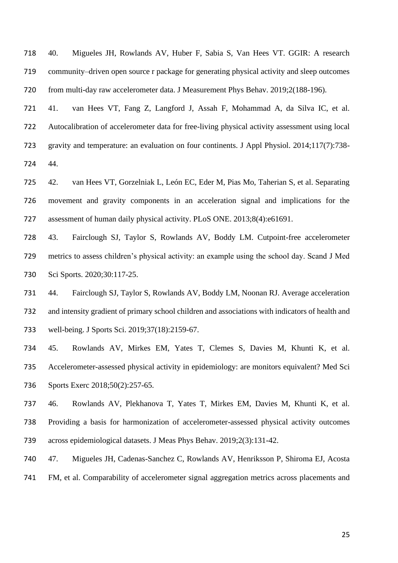40. Migueles JH, Rowlands AV, Huber F, Sabia S, Van Hees VT. GGIR: A research community–driven open source r package for generating physical activity and sleep outcomes from multi-day raw accelerometer data. J Measurement Phys Behav. 2019;2(188-196).

 41. van Hees VT, Fang Z, Langford J, Assah F, Mohammad A, da Silva IC, et al. Autocalibration of accelerometer data for free-living physical activity assessment using local gravity and temperature: an evaluation on four continents. J Appl Physiol. 2014;117(7):738- 44.

 42. van Hees VT, Gorzelniak L, León EC, Eder M, Pias Mo, Taherian S, et al. Separating movement and gravity components in an acceleration signal and implications for the assessment of human daily physical activity. PLoS ONE. 2013;8(4):e61691.

 43. Fairclough SJ, Taylor S, Rowlands AV, Boddy LM. Cutpoint-free accelerometer metrics to assess children's physical activity: an example using the school day. Scand J Med 730 Sci Sports. 2020;30:117-25.

 44. Fairclough SJ, Taylor S, Rowlands AV, Boddy LM, Noonan RJ. Average acceleration and intensity gradient of primary school children and associations with indicators of health and well-being. J Sports Sci. 2019;37(18):2159-67.

 45. Rowlands AV, Mirkes EM, Yates T, Clemes S, Davies M, Khunti K, et al. Accelerometer-assessed physical activity in epidemiology: are monitors equivalent? Med Sci 736 Sports Exerc 2018;50(2):257-65.

 46. Rowlands AV, Plekhanova T, Yates T, Mirkes EM, Davies M, Khunti K, et al. Providing a basis for harmonization of accelerometer-assessed physical activity outcomes across epidemiological datasets. J Meas Phys Behav. 2019;2(3):131-42.

 47. Migueles JH, Cadenas-Sanchez C, Rowlands AV, Henriksson P, Shiroma EJ, Acosta FM, et al. Comparability of accelerometer signal aggregation metrics across placements and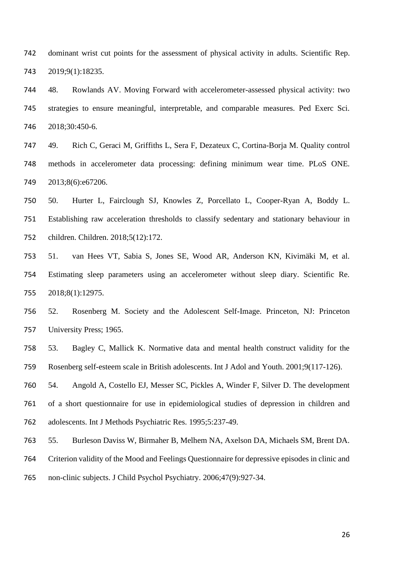dominant wrist cut points for the assessment of physical activity in adults. Scientific Rep. 2019;9(1):18235.

 48. Rowlands AV. Moving Forward with accelerometer-assessed physical activity: two strategies to ensure meaningful, interpretable, and comparable measures. Ped Exerc Sci. 2018;30:450-6.

 49. Rich C, Geraci M, Griffiths L, Sera F, Dezateux C, Cortina-Borja M. Quality control methods in accelerometer data processing: defining minimum wear time. PLoS ONE. 2013;8(6):e67206.

 50. Hurter L, Fairclough SJ, Knowles Z, Porcellato L, Cooper-Ryan A, Boddy L. Establishing raw acceleration thresholds to classify sedentary and stationary behaviour in children. Children. 2018;5(12):172.

 51. van Hees VT, Sabia S, Jones SE, Wood AR, Anderson KN, Kivimäki M, et al. Estimating sleep parameters using an accelerometer without sleep diary. Scientific Re. 2018;8(1):12975.

 52. Rosenberg M. Society and the Adolescent Self-Image. Princeton, NJ: Princeton University Press; 1965.

 53. Bagley C, Mallick K. Normative data and mental health construct validity for the Rosenberg self-esteem scale in British adolescents. Int J Adol and Youth. 2001;9(117-126).

 54. Angold A, Costello EJ, Messer SC, Pickles A, Winder F, Silver D. The development of a short questionnaire for use in epidemiological studies of depression in children and adolescents. Int J Methods Psychiatric Res. 1995;5:237-49.

55. Burleson Daviss W, Birmaher B, Melhem NA, Axelson DA, Michaels SM, Brent DA.

Criterion validity of the Mood and Feelings Questionnaire for depressive episodes in clinic and

non-clinic subjects. J Child Psychol Psychiatry. 2006;47(9):927-34.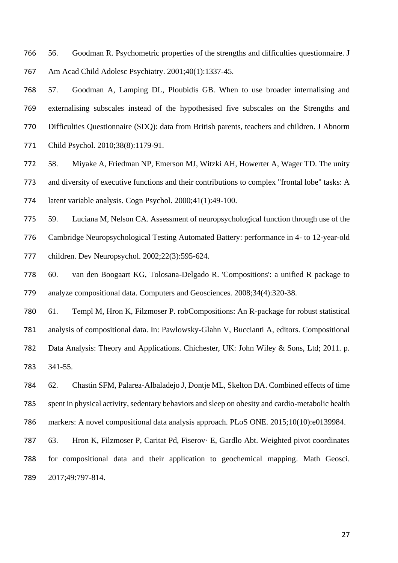56. Goodman R. Psychometric properties of the strengths and difficulties questionnaire. J Am Acad Child Adolesc Psychiatry. 2001;40(1):1337-45.

 57. Goodman A, Lamping DL, Ploubidis GB. When to use broader internalising and externalising subscales instead of the hypothesised five subscales on the Strengths and Difficulties Questionnaire (SDQ): data from British parents, teachers and children. J Abnorm Child Psychol. 2010;38(8):1179-91.

 58. Miyake A, Friedman NP, Emerson MJ, Witzki AH, Howerter A, Wager TD. The unity and diversity of executive functions and their contributions to complex "frontal lobe" tasks: A latent variable analysis. Cogn Psychol. 2000;41(1):49-100.

 59. Luciana M, Nelson CA. Assessment of neuropsychological function through use of the Cambridge Neuropsychological Testing Automated Battery: performance in 4- to 12-year-old children. Dev Neuropsychol. 2002;22(3):595-624.

 60. van den Boogaart KG, Tolosana-Delgado R. 'Compositions': a unified R package to analyze compositional data. Computers and Geosciences. 2008;34(4):320-38.

61. Templ M, Hron K, Filzmoser P. robCompositions: An R-package for robust statistical

analysis of compositional data. In: Pawlowsky-Glahn V, Buccianti A, editors. Compositional

 Data Analysis: Theory and Applications. Chichester, UK: John Wiley & Sons, Ltd; 2011. p. 341-55.

 62. Chastin SFM, Palarea-Albaladejo J, Dontje ML, Skelton DA. Combined effects of time spent in physical activity, sedentary behaviors and sleep on obesity and cardio-metabolic health markers: A novel compositional data analysis approach. PLoS ONE. 2015;10(10):e0139984.

 63. Hron K, Filzmoser P, Caritat Pd, Fiserov· E, Gardlo Abt. Weighted pivot coordinates for compositional data and their application to geochemical mapping. Math Geosci. 2017;49:797-814.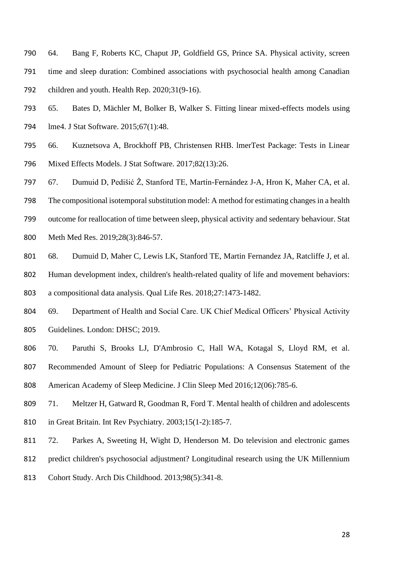- 64. Bang F, Roberts KC, Chaput JP, Goldfield GS, Prince SA. Physical activity, screen time and sleep duration: Combined associations with psychosocial health among Canadian children and youth. Health Rep. 2020;31(9-16).
- 65. Bates D, Mächler M, Bolker B, Walker S. Fitting linear mixed-effects models using 794 lme4. J Stat Software. 2015;67(1):48.
- 66. Kuznetsova A, Brockhoff PB, Christensen RHB. lmerTest Package: Tests in Linear Mixed Effects Models. J Stat Software. 2017;82(13):26.
- 67. Dumuid D, Pedišić Ž, Stanford TE, Martín-Fernández J-A, Hron K, Maher CA, et al.
- The compositional isotemporal substitution model: A method for estimating changes in a health
- outcome for reallocation of time between sleep, physical activity and sedentary behaviour. Stat
- Meth Med Res. 2019;28(3):846-57.
- 68. Dumuid D, Maher C, Lewis LK, Stanford TE, Martin Fernandez JA, Ratcliffe J, et al.
- Human development index, children's health-related quality of life and movement behaviors:
- a compositional data analysis. Qual Life Res. 2018;27:1473-1482.
- 69. Department of Health and Social Care. UK Chief Medical Officers' Physical Activity Guidelines. London: DHSC; 2019.
- 70. Paruthi S, Brooks LJ, D'Ambrosio C, Hall WA, Kotagal S, Lloyd RM, et al.
- Recommended Amount of Sleep for Pediatric Populations: A Consensus Statement of the American Academy of Sleep Medicine. J Clin Sleep Med 2016;12(06):785-6.
- 71. Meltzer H, Gatward R, Goodman R, Ford T. Mental health of children and adolescents in Great Britain. Int Rev Psychiatry. 2003;15(1-2):185-7.
- 72. Parkes A, Sweeting H, Wight D, Henderson M. Do television and electronic games
- predict children's psychosocial adjustment? Longitudinal research using the UK Millennium
- Cohort Study. Arch Dis Childhood. 2013;98(5):341-8.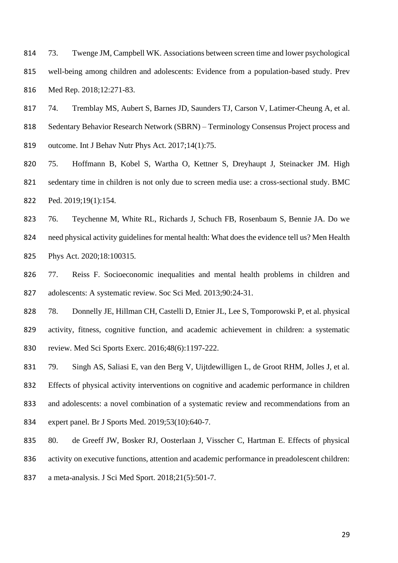73. Twenge JM, Campbell WK. Associations between screen time and lower psychological well-being among children and adolescents: Evidence from a population-based study. Prev Med Rep. 2018;12:271-83.

 74. Tremblay MS, Aubert S, Barnes JD, Saunders TJ, Carson V, Latimer-Cheung A, et al. 818 Sedentary Behavior Research Network (SBRN) – Terminology Consensus Project process and 819 outcome. Int J Behav Nutr Phys Act. 2017;14(1):75.

 75. Hoffmann B, Kobel S, Wartha O, Kettner S, Dreyhaupt J, Steinacker JM. High sedentary time in children is not only due to screen media use: a cross-sectional study. BMC Ped. 2019;19(1):154.

 76. Teychenne M, White RL, Richards J, Schuch FB, Rosenbaum S, Bennie JA. Do we need physical activity guidelines for mental health: What does the evidence tell us? Men Health Phys Act. 2020;18:100315.

 77. Reiss F. Socioeconomic inequalities and mental health problems in children and adolescents: A systematic review. Soc Sci Med. 2013;90:24-31.

 78. Donnelly JE, Hillman CH, Castelli D, Etnier JL, Lee S, Tomporowski P, et al. physical activity, fitness, cognitive function, and academic achievement in children: a systematic review. Med Sci Sports Exerc. 2016;48(6):1197-222.

 79. Singh AS, Saliasi E, van den Berg V, Uijtdewilligen L, de Groot RHM, Jolles J, et al. Effects of physical activity interventions on cognitive and academic performance in children and adolescents: a novel combination of a systematic review and recommendations from an expert panel. Br J Sports Med. 2019;53(10):640-7.

80. de Greeff JW, Bosker RJ, Oosterlaan J, Visscher C, Hartman E. Effects of physical

activity on executive functions, attention and academic performance in preadolescent children:

a meta-analysis. J Sci Med Sport. 2018;21(5):501-7.